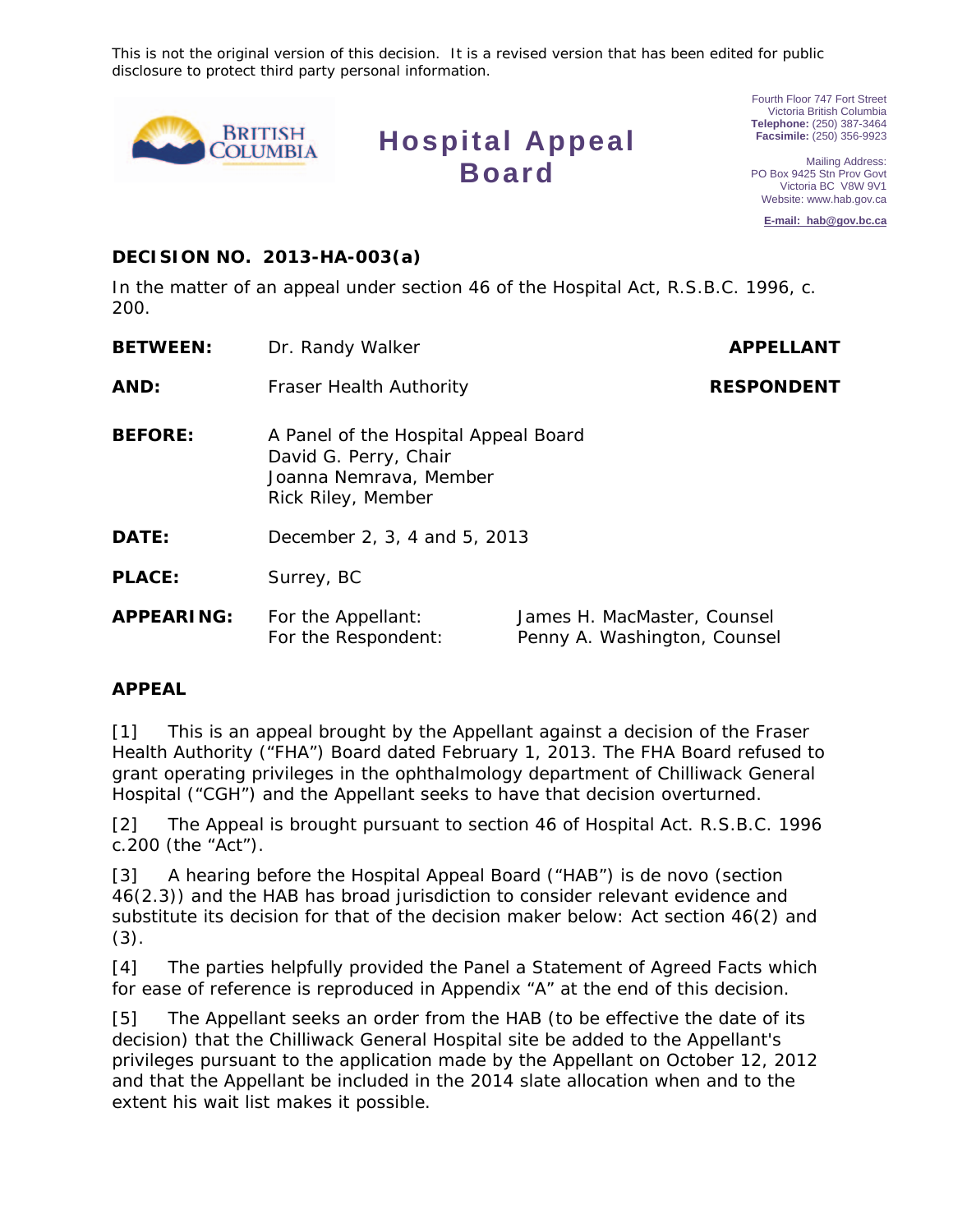This is not the original version of this decision. It is a revised version that has been edited for public disclosure to protect third party personal information.



**Hospital Appeal Board**

Fourth Floor 747 Fort Street Victoria British Columbia **Telephone:** (250) 387-3464 **Facsimile:** (250) 356-9923

Mailing Address: PO Box 9425 Stn Prov Govt Victoria BC V8W 9V1 Website: www.hab.gov.ca

**E-mail: hab@gov.bc.ca**

#### **DECISION NO. 2013-HA-003(a)**

In the matter of an appeal under section 46 of the *Hospital Act*, R.S.B.C. 1996, c. 200.

| <b>BETWEEN:</b>   | Dr. Randy Walker                                                                                              | <b>APPELLANT</b>            |
|-------------------|---------------------------------------------------------------------------------------------------------------|-----------------------------|
| AND:              | <b>Fraser Health Authority</b>                                                                                | <b>RESPONDENT</b>           |
| <b>BEFORE:</b>    | A Panel of the Hospital Appeal Board<br>David G. Perry, Chair<br>Joanna Nemrava, Member<br>Rick Riley, Member |                             |
| <b>DATE:</b>      | December 2, 3, 4 and 5, 2013                                                                                  |                             |
| <b>PLACE:</b>     | Surrey, BC                                                                                                    |                             |
| <b>APPEARING:</b> | For the Appellant:                                                                                            | James H. MacMaster, Counsel |

Penny A. Washington, Counsel

#### **APPEAL**

[1] This is an appeal brought by the Appellant against a decision of the Fraser Health Authority ("FHA") Board dated February 1, 2013. The FHA Board refused to grant operating privileges in the ophthalmology department of Chilliwack General Hospital ("CGH") and the Appellant seeks to have that decision overturned.

For the Respondent:

[2] The Appeal is brought pursuant to section 46 of *Hospital Act*. R.S.B.C. 1996 c.200 (the "Act").

[3] A hearing before the Hospital Appeal Board ("HAB") is *de novo* (section 46(2.3)) and the HAB has broad jurisdiction to consider relevant evidence and substitute its decision for that of the decision maker below: Act section 46(2) and (3).

[4] The parties helpfully provided the Panel a Statement of Agreed Facts which for ease of reference is reproduced in Appendix "A" at the end of this decision.

[5] The Appellant seeks an order from the HAB (to be effective the date of its decision) that the Chilliwack General Hospital site be added to the Appellant's privileges pursuant to the application made by the Appellant on October 12, 2012 and that the Appellant be included in the 2014 slate allocation when and to the extent his wait list makes it possible.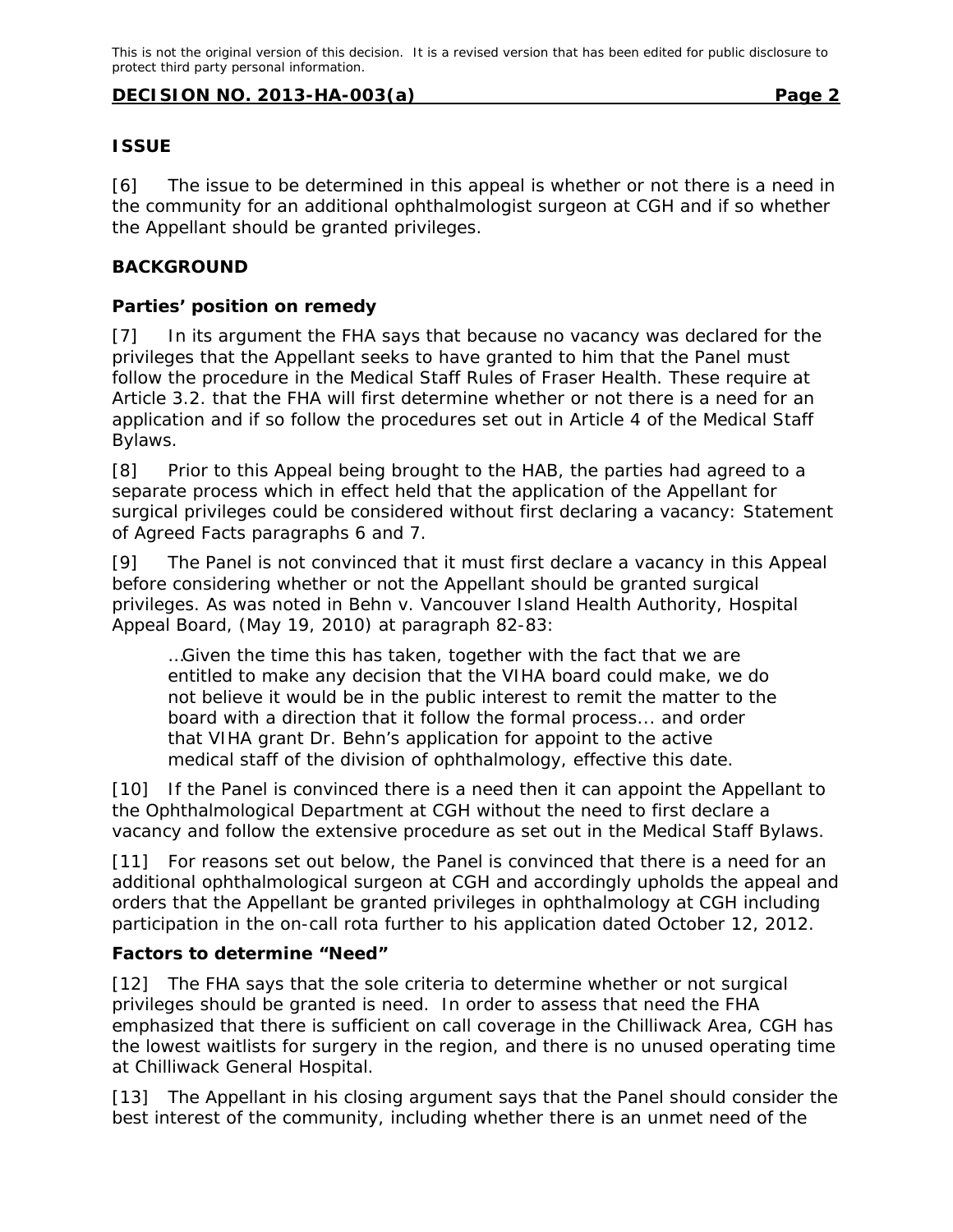#### **ISSUE**

[6] The issue to be determined in this appeal is whether or not there is a need in the community for an additional ophthalmologist surgeon at CGH and if so whether the Appellant should be granted privileges.

## **BACKGROUND**

## **Parties' position on remedy**

[7] In its argument the FHA says that because no vacancy was declared for the privileges that the Appellant seeks to have granted to him that the Panel must follow the procedure in the Medical Staff Rules of Fraser Health. These require at Article 3.2. that the FHA will first determine whether or not there is a need for an application and if so follow the procedures set out in Article 4 of the *Medical Staff Bylaws*.

[8] Prior to this Appeal being brought to the HAB, the parties had agreed to a separate process which in effect held that the application of the Appellant for surgical privileges could be considered without first declaring a vacancy: Statement of Agreed Facts paragraphs 6 and 7.

[9] The Panel is not convinced that it must first declare a vacancy in this Appeal before considering whether or not the Appellant should be granted surgical privileges. As was noted in *Behn v. Vancouver Island Health Authority*, Hospital Appeal Board, (May 19, 2010) at paragraph 82-83:

…Given the time this has taken, together with the fact that we are entitled to make any decision that the VIHA board could make, we do not believe it would be in the public interest to remit the matter to the board with a direction that it follow the formal process... and order that VIHA grant Dr. Behn's application for appoint to the active medical staff of the division of ophthalmology, effective this date.

[10] If the Panel is convinced there is a need then it can appoint the Appellant to the Ophthalmological Department at CGH without the need to first declare a vacancy and follow the extensive procedure as set out in the *Medical Staff Bylaws.*

[11] For reasons set out below, the Panel is convinced that there is a need for an additional ophthalmological surgeon at CGH and accordingly upholds the appeal and orders that the Appellant be granted privileges in ophthalmology at CGH including participation in the on-call rota further to his application dated October 12, 2012.

#### **Factors to determine "Need"**

[12] The FHA says that the sole criteria to determine whether or not surgical privileges should be granted is need. In order to assess that need the FHA emphasized that there is sufficient on call coverage in the Chilliwack Area, CGH has the lowest waitlists for surgery in the region, and there is no unused operating time at Chilliwack General Hospital.

[13] The Appellant in his closing argument says that the Panel should consider the best interest of the community, including whether there is an unmet need of the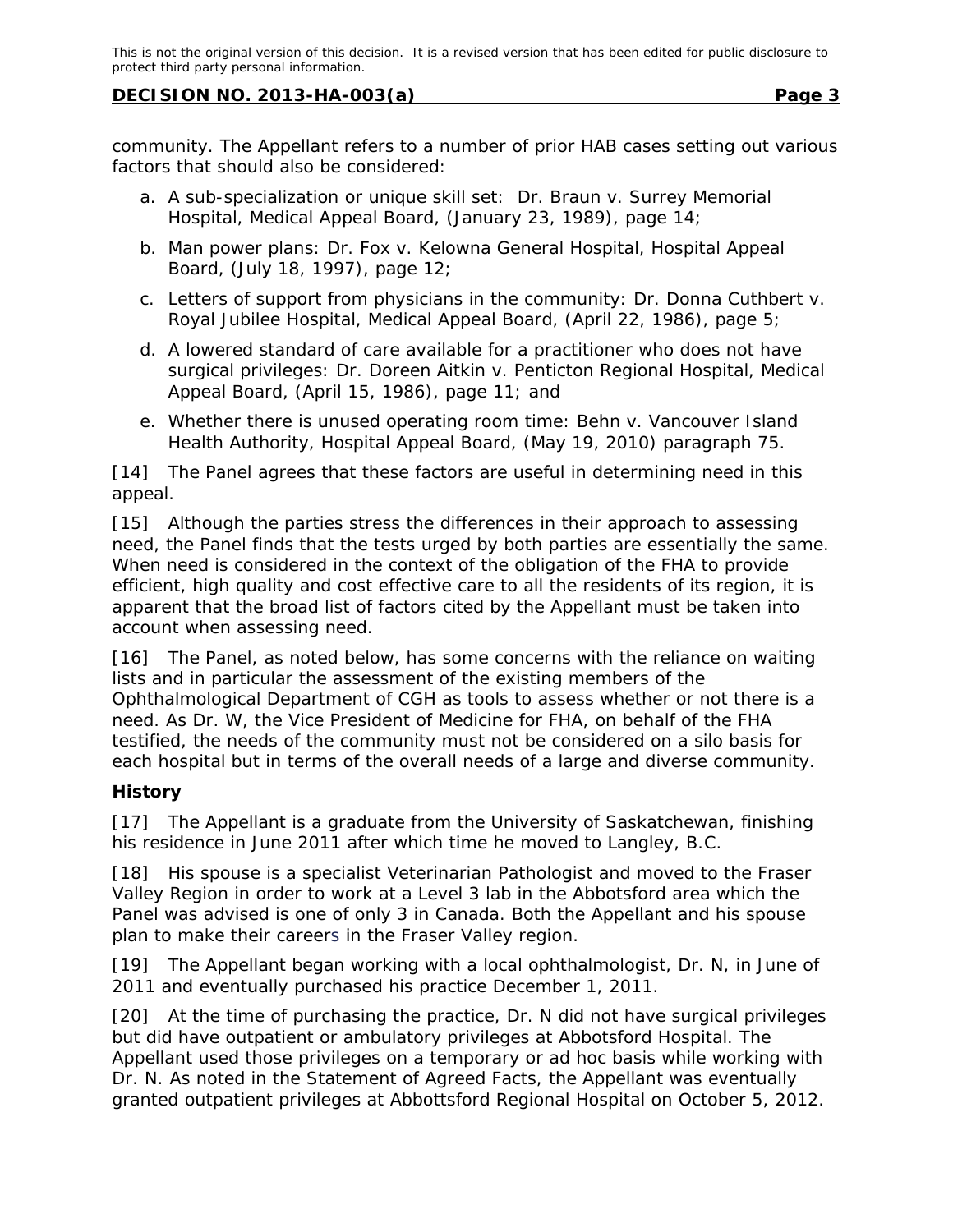community. The Appellant refers to a number of prior HAB cases setting out various factors that should also be considered:

- a. A sub-specialization or unique skill set: *Dr. Braun v. Surrey Memorial Hospital*, Medical Appeal Board, (January 23, 1989), page 14;
- b. Man power plans: *Dr. Fox v. Kelowna General Hospital*, Hospital Appeal Board, (July 18, 1997), page 12;
- c. Letters of support from physicians in the community: *Dr. Donna Cuthbert v. Royal Jubilee Hospital*, Medical Appeal Board, (April 22, 1986), page 5;
- d. A lowered standard of care available for a practitioner who does not have surgical privileges: *Dr. Doreen Aitkin v. Penticton Regional Hospital*, Medical Appeal Board, (April 15, 1986), page 11; and
- e. Whether there is unused operating room time: *Behn v. Vancouver Island Health Authority*, Hospital Appeal Board, (May 19, 2010) paragraph 75.

[14] The Panel agrees that these factors are useful in determining need in this appeal.

[15] Although the parties stress the differences in their approach to assessing need, the Panel finds that the tests urged by both parties are essentially the same. When need is considered in the context of the obligation of the FHA to provide efficient, high quality and cost effective care to all the residents of its region, it is apparent that the broad list of factors cited by the Appellant must be taken into account when assessing need.

[16] The Panel, as noted below, has some concerns with the reliance on waiting lists and in particular the assessment of the existing members of the Ophthalmological Department of CGH as tools to assess whether or not there is a need. As Dr. W, the Vice President of Medicine for FHA, on behalf of the FHA testified, the needs of the community must not be considered on a silo basis for each hospital but in terms of the overall needs of a large and diverse community.

# **History**

[17] The Appellant is a graduate from the University of Saskatchewan, finishing his residence in June 2011 after which time he moved to Langley, B.C.

[18] His spouse is a specialist Veterinarian Pathologist and moved to the Fraser Valley Region in order to work at a Level 3 lab in the Abbotsford area which the Panel was advised is one of only 3 in Canada. Both the Appellant and his spouse plan to make their careers in the Fraser Valley region.

[19] The Appellant began working with a local ophthalmologist, Dr. N, in June of 2011 and eventually purchased his practice December 1, 2011.

[20] At the time of purchasing the practice, Dr. N did not have surgical privileges but did have outpatient or ambulatory privileges at Abbotsford Hospital. The Appellant used those privileges on a temporary or ad hoc basis while working with Dr. N. As noted in the Statement of Agreed Facts, the Appellant was eventually granted outpatient privileges at Abbottsford Regional Hospital on October 5, 2012.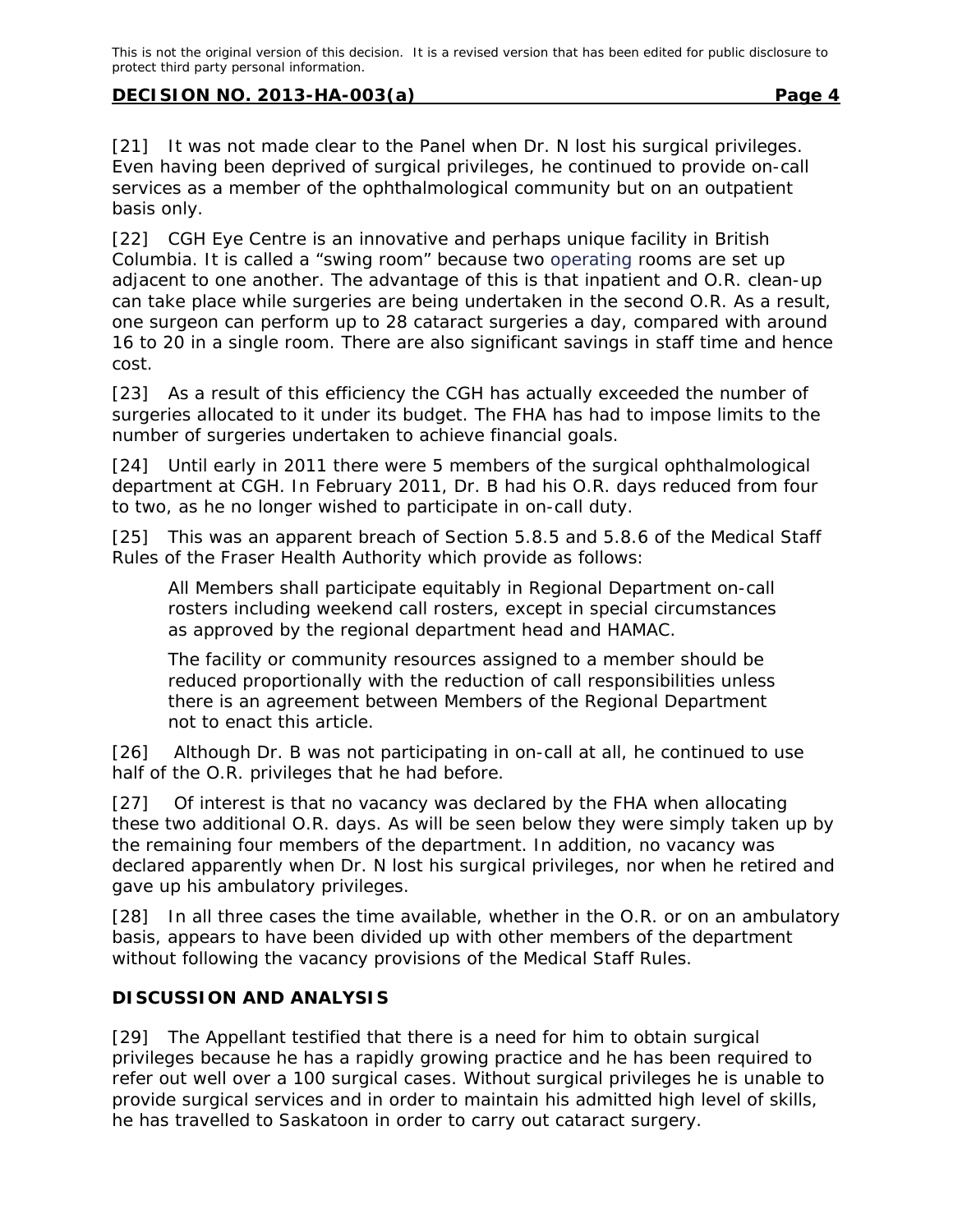[21] It was not made clear to the Panel when Dr. N lost his surgical privileges. Even having been deprived of surgical privileges, he continued to provide on-call services as a member of the ophthalmological community but on an outpatient basis only.

[22] CGH Eye Centre is an innovative and perhaps unique facility in British Columbia. It is called a "swing room" because two operating rooms are set up adjacent to one another. The advantage of this is that inpatient and O.R. clean-up can take place while surgeries are being undertaken in the second O.R. As a result, one surgeon can perform up to 28 cataract surgeries a day, compared with around 16 to 20 in a single room. There are also significant savings in staff time and hence cost.

[23] As a result of this efficiency the CGH has actually exceeded the number of surgeries allocated to it under its budget. The FHA has had to impose limits to the number of surgeries undertaken to achieve financial goals.

[24] Until early in 2011 there were 5 members of the surgical ophthalmological department at CGH. In February 2011, Dr. B had his O.R. days reduced from four to two, as he no longer wished to participate in on-call duty.

[25] This was an apparent breach of Section 5.8.5 and 5.8.6 of the *Medical Staff Rules* of the Fraser Health Authority which provide as follows:

All Members shall participate equitably in Regional Department on-call rosters including weekend call rosters, except in special circumstances as approved by the regional department head and HAMAC.

The facility or community resources assigned to a member should be reduced proportionally with the reduction of call responsibilities unless there is an agreement between Members of the Regional Department not to enact this article.

[26] Although Dr. B was not participating in on-call at all, he continued to use half of the O.R. privileges that he had before.

[27] Of interest is that no vacancy was declared by the FHA when allocating these two additional O.R. days. As will be seen below they were simply taken up by the remaining four members of the department. In addition, no vacancy was declared apparently when Dr. N lost his surgical privileges, nor when he retired and gave up his ambulatory privileges.

[28] In all three cases the time available, whether in the O.R. or on an ambulatory basis, appears to have been divided up with other members of the department without following the vacancy provisions of the *Medical Staff Rules*.

# **DISCUSSION AND ANALYSIS**

[29] The Appellant testified that there is a need for him to obtain surgical privileges because he has a rapidly growing practice and he has been required to refer out well over a 100 surgical cases. Without surgical privileges he is unable to provide surgical services and in order to maintain his admitted high level of skills, he has travelled to Saskatoon in order to carry out cataract surgery.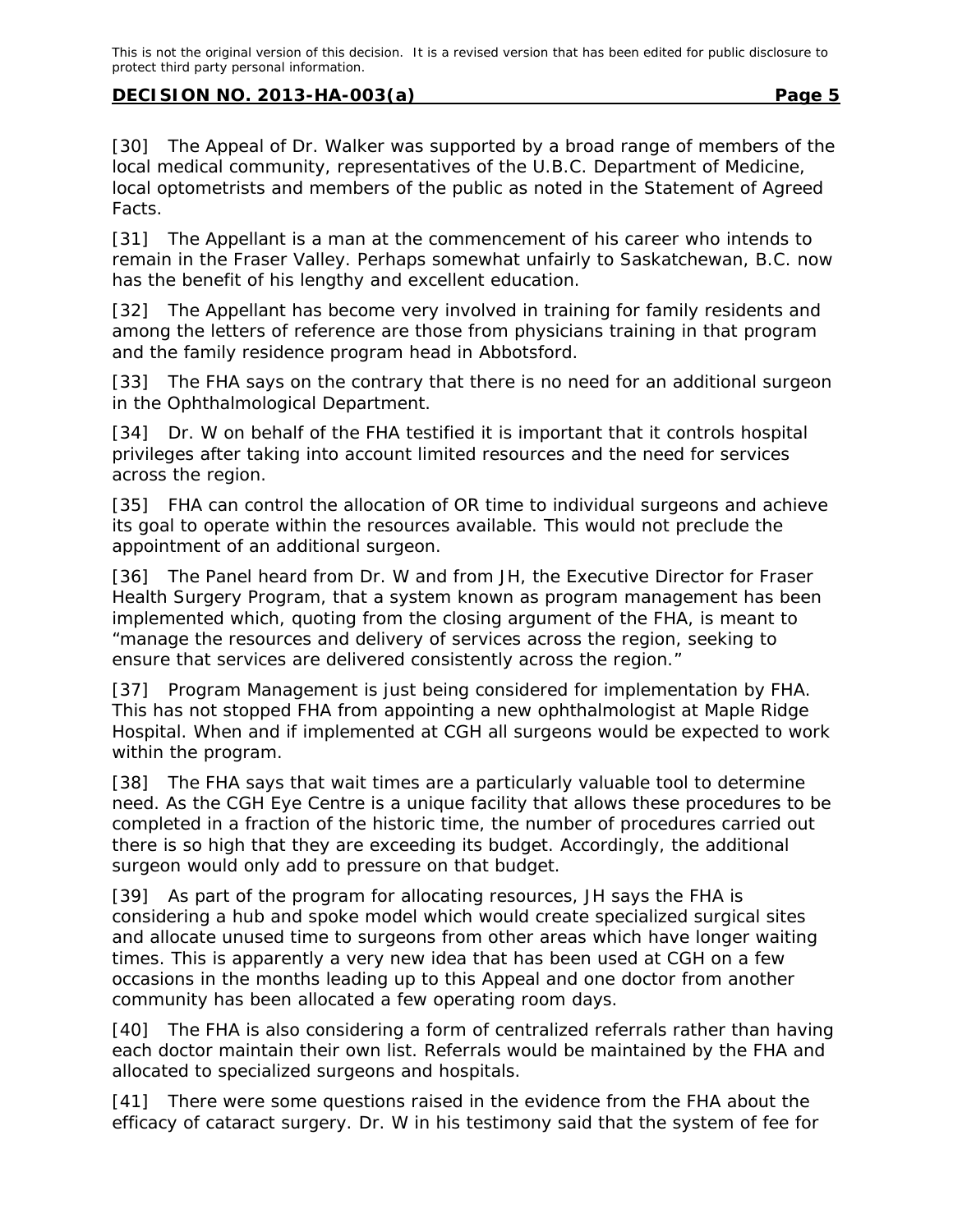[30] The Appeal of Dr. Walker was supported by a broad range of members of the local medical community, representatives of the U.B.C. Department of Medicine, local optometrists and members of the public as noted in the Statement of Agreed Facts.

[31] The Appellant is a man at the commencement of his career who intends to remain in the Fraser Valley. Perhaps somewhat unfairly to Saskatchewan, B.C. now has the benefit of his lengthy and excellent education.

[32] The Appellant has become very involved in training for family residents and among the letters of reference are those from physicians training in that program and the family residence program head in Abbotsford.

[33] The FHA says on the contrary that there is no need for an additional surgeon in the Ophthalmological Department.

[34] Dr. W on behalf of the FHA testified it is important that it controls hospital privileges after taking into account limited resources and the need for services across the region.

[35] FHA can control the allocation of OR time to individual surgeons and achieve its goal to operate within the resources available. This would not preclude the appointment of an additional surgeon.

[36] The Panel heard from Dr. W and from JH, the Executive Director for Fraser Health Surgery Program, that a system known as program management has been implemented which, quoting from the closing argument of the FHA, is meant to "manage the resources and delivery of services across the region, seeking to ensure that services are delivered consistently across the region."

[37] Program Management is just being considered for implementation by FHA. This has not stopped FHA from appointing a new ophthalmologist at Maple Ridge Hospital. When and if implemented at CGH all surgeons would be expected to work within the program.

[38] The FHA says that wait times are a particularly valuable tool to determine need. As the CGH Eye Centre is a unique facility that allows these procedures to be completed in a fraction of the historic time, the number of procedures carried out there is so high that they are exceeding its budget. Accordingly, the additional surgeon would only add to pressure on that budget.

[39] As part of the program for allocating resources, JH says the FHA is considering a hub and spoke model which would create specialized surgical sites and allocate unused time to surgeons from other areas which have longer waiting times. This is apparently a very new idea that has been used at CGH on a few occasions in the months leading up to this Appeal and one doctor from another community has been allocated a few operating room days.

[40] The FHA is also considering a form of centralized referrals rather than having each doctor maintain their own list. Referrals would be maintained by the FHA and allocated to specialized surgeons and hospitals.

[41] There were some questions raised in the evidence from the FHA about the efficacy of cataract surgery. Dr. W in his testimony said that the system of fee for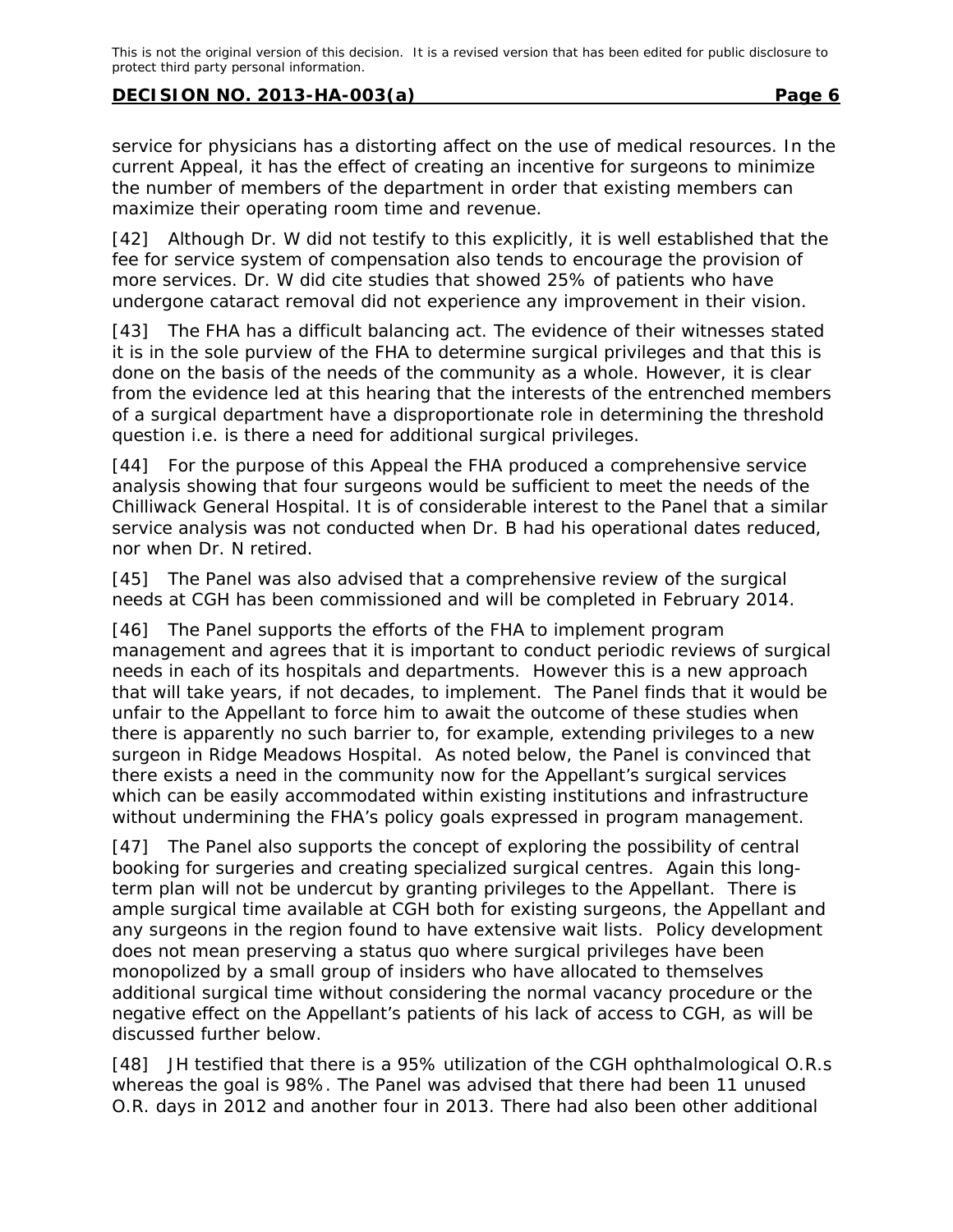service for physicians has a distorting affect on the use of medical resources. In the current Appeal, it has the effect of creating an incentive for surgeons to minimize the number of members of the department in order that existing members can maximize their operating room time and revenue.

[42] Although Dr. W did not testify to this explicitly, it is well established that the fee for service system of compensation also tends to encourage the provision of more services. Dr. W did cite studies that showed 25% of patients who have undergone cataract removal did not experience any improvement in their vision.

[43] The FHA has a difficult balancing act. The evidence of their witnesses stated it is in the sole purview of the FHA to determine surgical privileges and that this is done on the basis of the needs of the community as a whole. However, it is clear from the evidence led at this hearing that the interests of the entrenched members of a surgical department have a disproportionate role in determining the threshold question i.e. is there a need for additional surgical privileges.

[44] For the purpose of this Appeal the FHA produced a comprehensive service analysis showing that four surgeons would be sufficient to meet the needs of the Chilliwack General Hospital. It is of considerable interest to the Panel that a similar service analysis was not conducted when Dr. B had his operational dates reduced, nor when Dr. N retired.

[45] The Panel was also advised that a comprehensive review of the surgical needs at CGH has been commissioned and will be completed in February 2014.

[46] The Panel supports the efforts of the FHA to implement program management and agrees that it is important to conduct periodic reviews of surgical needs in each of its hospitals and departments. However this is a new approach that will take years, if not decades, to implement. The Panel finds that it would be unfair to the Appellant to force him to await the outcome of these studies when there is apparently no such barrier to, for example, extending privileges to a new surgeon in Ridge Meadows Hospital. As noted below, the Panel is convinced that there exists a need in the community now for the Appellant's surgical services which can be easily accommodated within existing institutions and infrastructure without undermining the FHA's policy goals expressed in program management.

[47] The Panel also supports the concept of exploring the possibility of central booking for surgeries and creating specialized surgical centres. Again this longterm plan will not be undercut by granting privileges to the Appellant. There is ample surgical time available at CGH both for existing surgeons, the Appellant and any surgeons in the region found to have extensive wait lists. Policy development does not mean preserving a status quo where surgical privileges have been monopolized by a small group of insiders who have allocated to themselves additional surgical time without considering the normal vacancy procedure or the negative effect on the Appellant's patients of his lack of access to CGH, as will be discussed further below.

[48] JH testified that there is a 95% utilization of the CGH ophthalmological O.R.s whereas the goal is 98%. The Panel was advised that there had been 11 unused O.R. days in 2012 and another four in 2013. There had also been other additional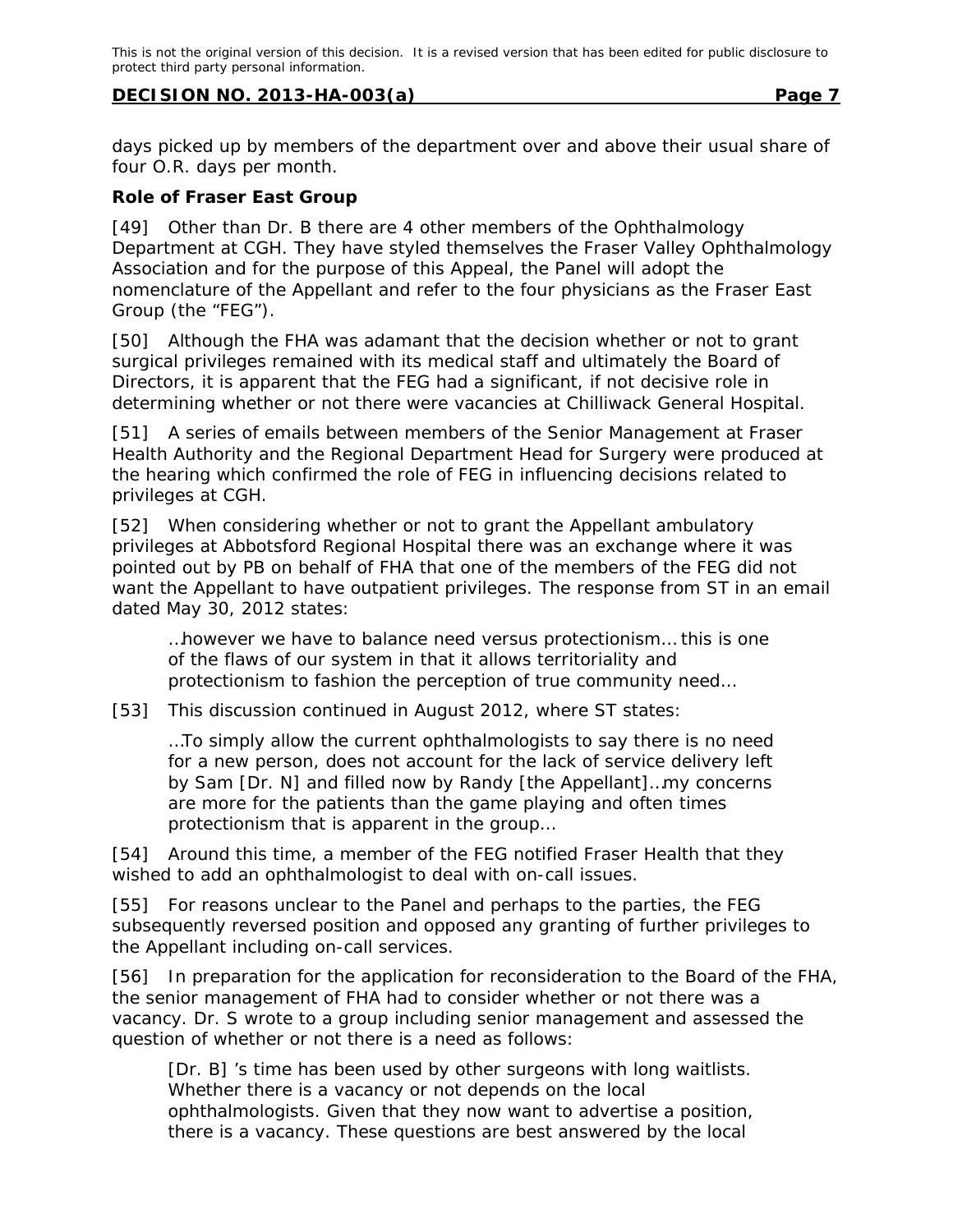days picked up by members of the department over and above their usual share of four O.R. days per month.

#### **Role of Fraser East Group**

[49] Other than Dr. B there are 4 other members of the Ophthalmology Department at CGH. They have styled themselves the Fraser Valley Ophthalmology Association and for the purpose of this Appeal, the Panel will adopt the nomenclature of the Appellant and refer to the four physicians as the Fraser East Group (the "FEG").

[50] Although the FHA was adamant that the decision whether or not to grant surgical privileges remained with its medical staff and ultimately the Board of Directors, it is apparent that the FEG had a significant, if not decisive role in determining whether or not there were vacancies at Chilliwack General Hospital.

[51] A series of emails between members of the Senior Management at Fraser Health Authority and the Regional Department Head for Surgery were produced at the hearing which confirmed the role of FEG in influencing decisions related to privileges at CGH.

[52] When considering whether or not to grant the Appellant ambulatory privileges at Abbotsford Regional Hospital there was an exchange where it was pointed out by PB on behalf of FHA that one of the members of the FEG did not want the Appellant to have outpatient privileges. The response from ST in an email dated May 30, 2012 states:

…however we have to balance need versus protectionism… this is one of the flaws of our system in that it allows territoriality and protectionism to fashion the perception of true community need…

[53] This discussion continued in August 2012, where ST states:

…To simply allow the current ophthalmologists to say there is no need for a new person, does not account for the lack of service delivery left by Sam [Dr. N] and filled now by Randy [the Appellant]…my concerns are more for the patients than the game playing and often times protectionism that is apparent in the group…

[54] Around this time, a member of the FEG notified Fraser Health that they wished to add an ophthalmologist to deal with on-call issues.

[55] For reasons unclear to the Panel and perhaps to the parties, the FEG subsequently reversed position and opposed any granting of further privileges to the Appellant including on-call services.

[56] In preparation for the application for reconsideration to the Board of the FHA, the senior management of FHA had to consider whether or not there was a vacancy. Dr. S wrote to a group including senior management and assessed the question of whether or not there is a need as follows:

[Dr. B] 's time has been used by other surgeons with long waitlists. Whether there is a vacancy or not depends on the local ophthalmologists. Given that they now want to advertise a position, there is a vacancy. These questions are best answered by the local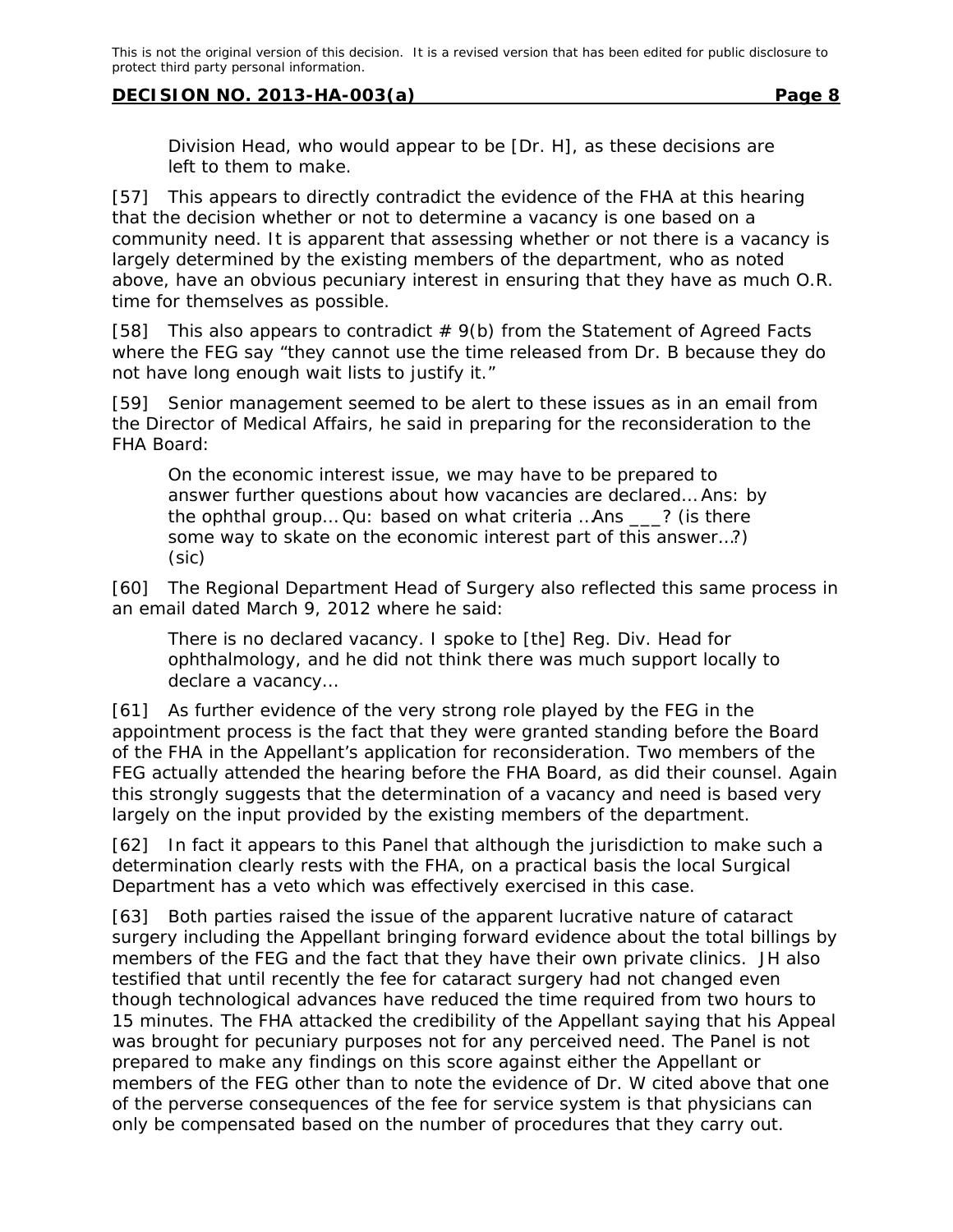Division Head, who would appear to be [Dr. H], as these decisions are left to them to make.

[57] This appears to directly contradict the evidence of the FHA at this hearing that the decision whether or not to determine a vacancy is one based on a community need. It is apparent that assessing whether or not there is a vacancy is largely determined by the existing members of the department, who as noted above, have an obvious pecuniary interest in ensuring that they have as much O.R. time for themselves as possible.

[58] This also appears to contradict  $# 9(b)$  from the Statement of Agreed Facts where the FEG say "they cannot use the time released from Dr. B because they do not have long enough wait lists to justify it."

[59] Senior management seemed to be alert to these issues as in an email from the Director of Medical Affairs, he said in preparing for the reconsideration to the FHA Board:

On the economic interest issue, we may have to be prepared to answer further questions about how vacancies are declared… Ans: by the ophthal group… Qu: based on what criteria …Ans \_\_\_? (is there some way to skate on the economic interest part of this answer…?) (sic)

[60] The Regional Department Head of Surgery also reflected this same process in an email dated March 9, 2012 where he said:

There is no declared vacancy. I spoke to [the] Reg. Div. Head for ophthalmology, and he did not think there was much support locally to declare a vacancy…

[61] As further evidence of the very strong role played by the FEG in the appointment process is the fact that they were granted standing before the Board of the FHA in the Appellant's application for reconsideration. Two members of the FEG actually attended the hearing before the FHA Board, as did their counsel. Again this strongly suggests that the determination of a vacancy and need is based very largely on the input provided by the existing members of the department.

[62] In fact it appears to this Panel that although the jurisdiction to make such a determination clearly rests with the FHA, on a practical basis the local Surgical Department has a veto which was effectively exercised in this case.

[63] Both parties raised the issue of the apparent lucrative nature of cataract surgery including the Appellant bringing forward evidence about the total billings by members of the FEG and the fact that they have their own private clinics. JH also testified that until recently the fee for cataract surgery had not changed even though technological advances have reduced the time required from two hours to 15 minutes. The FHA attacked the credibility of the Appellant saying that his Appeal was brought for pecuniary purposes not for any perceived need. The Panel is not prepared to make any findings on this score against either the Appellant or members of the FEG other than to note the evidence of Dr. W cited above that one of the perverse consequences of the fee for service system is that physicians can only be compensated based on the number of procedures that they carry out.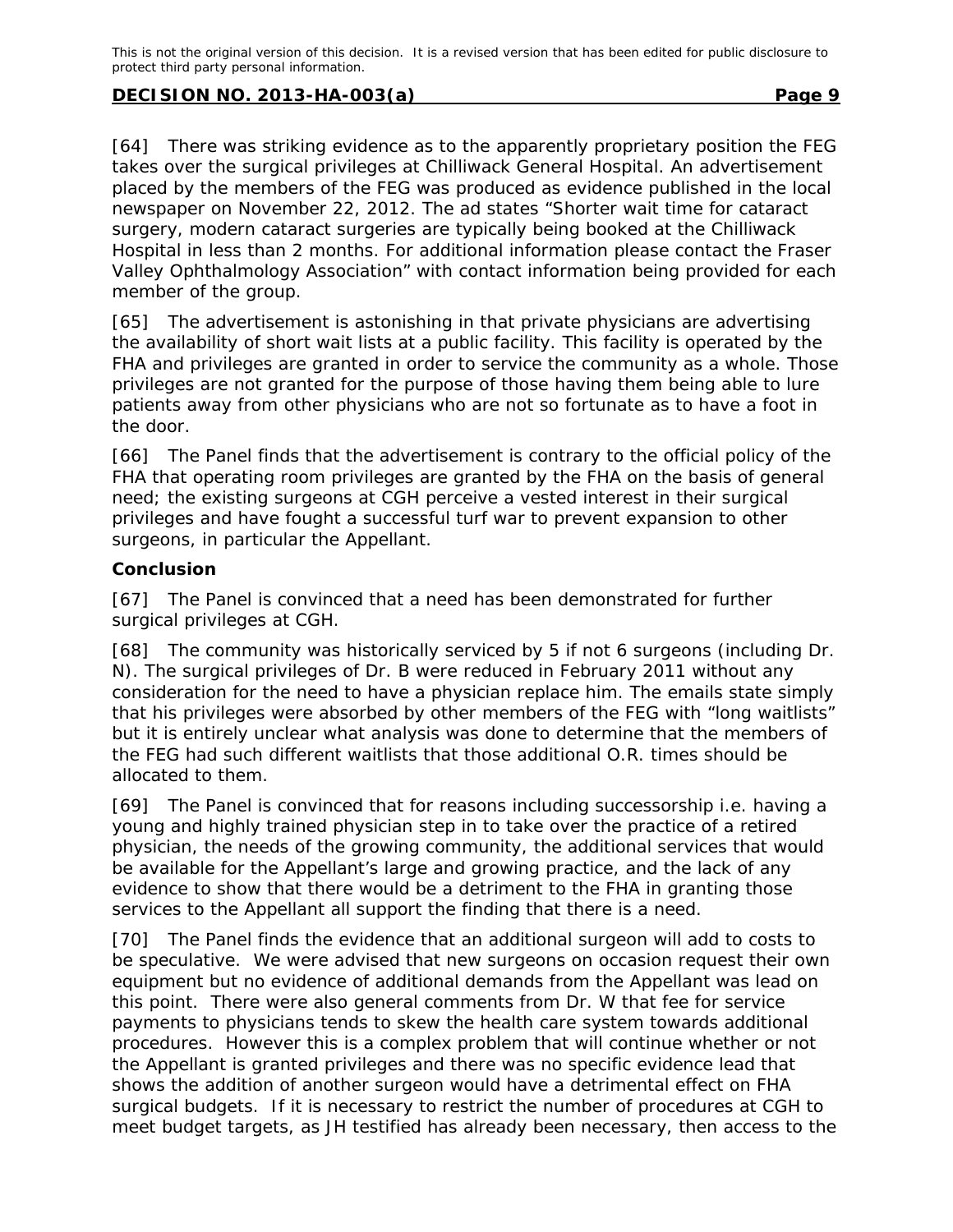[64] There was striking evidence as to the apparently proprietary position the FEG takes over the surgical privileges at Chilliwack General Hospital. An advertisement placed by the members of the FEG was produced as evidence published in the local newspaper on November 22, 2012. The ad states "Shorter wait time for cataract surgery, modern cataract surgeries are typically being booked at the Chilliwack Hospital in less than 2 months. For additional information please contact the Fraser Valley Ophthalmology Association" with contact information being provided for each member of the group.

[65] The advertisement is astonishing in that private physicians are advertising the availability of short wait lists at a public facility. This facility is operated by the FHA and privileges are granted in order to service the community as a whole. Those privileges are not granted for the purpose of those having them being able to lure patients away from other physicians who are not so fortunate as to have a foot in the door.

[66] The Panel finds that the advertisement is contrary to the official policy of the FHA that operating room privileges are granted by the FHA on the basis of general need; the existing surgeons at CGH perceive a vested interest in their surgical privileges and have fought a successful turf war to prevent expansion to other surgeons, in particular the Appellant.

## **Conclusion**

[67] The Panel is convinced that a need has been demonstrated for further surgical privileges at CGH.

[68] The community was historically serviced by 5 if not 6 surgeons (including Dr. N). The surgical privileges of Dr. B were reduced in February 2011 without any consideration for the need to have a physician replace him. The emails state simply that his privileges were absorbed by other members of the FEG with "long waitlists" but it is entirely unclear what analysis was done to determine that the members of the FEG had such different waitlists that those additional O.R. times should be allocated to them.

[69] The Panel is convinced that for reasons including successorship i.e. having a young and highly trained physician step in to take over the practice of a retired physician, the needs of the growing community, the additional services that would be available for the Appellant's large and growing practice, and the lack of any evidence to show that there would be a detriment to the FHA in granting those services to the Appellant all support the finding that there is a need.

[70] The Panel finds the evidence that an additional surgeon will add to costs to be speculative. We were advised that new surgeons on occasion request their own equipment but no evidence of additional demands from the Appellant was lead on this point. There were also general comments from Dr. W that fee for service payments to physicians tends to skew the health care system towards additional procedures. However this is a complex problem that will continue whether or not the Appellant is granted privileges and there was no specific evidence lead that shows the addition of another surgeon would have a detrimental effect on FHA surgical budgets. If it is necessary to restrict the number of procedures at CGH to meet budget targets, as JH testified has already been necessary, then access to the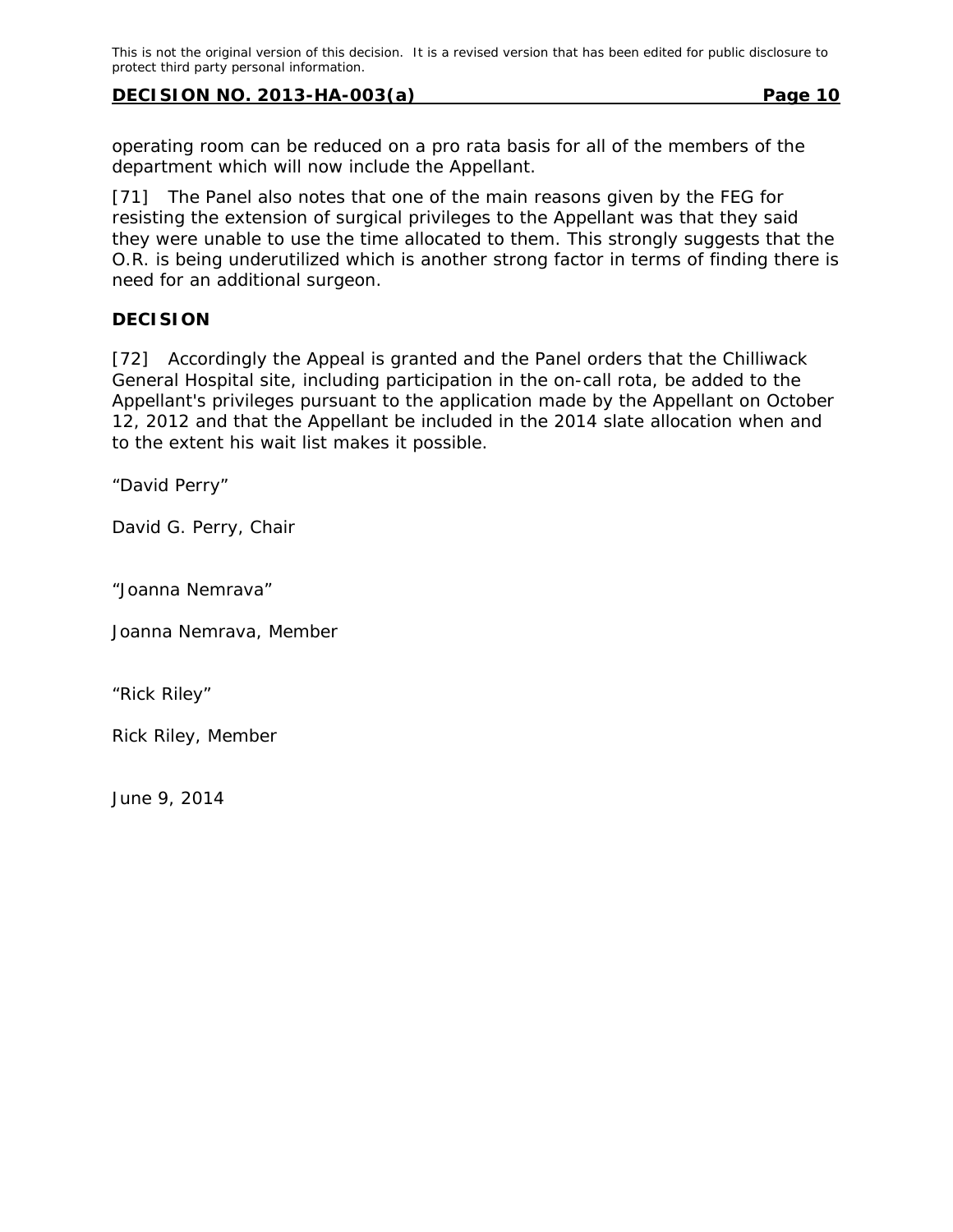operating room can be reduced on a pro rata basis for all of the members of the department which will now include the Appellant.

[71] The Panel also notes that one of the main reasons given by the FEG for resisting the extension of surgical privileges to the Appellant was that they said they were unable to use the time allocated to them. This strongly suggests that the O.R. is being underutilized which is another strong factor in terms of finding there is need for an additional surgeon.

## **DECISION**

[72] Accordingly the Appeal is granted and the Panel orders that the Chilliwack General Hospital site, including participation in the on-call rota, be added to the Appellant's privileges pursuant to the application made by the Appellant on October 12, 2012 and that the Appellant be included in the 2014 slate allocation when and to the extent his wait list makes it possible.

"David Perry"

David G. Perry, Chair

"Joanna Nemrava"

Joanna Nemrava, Member

"Rick Riley"

Rick Riley, Member

June 9, 2014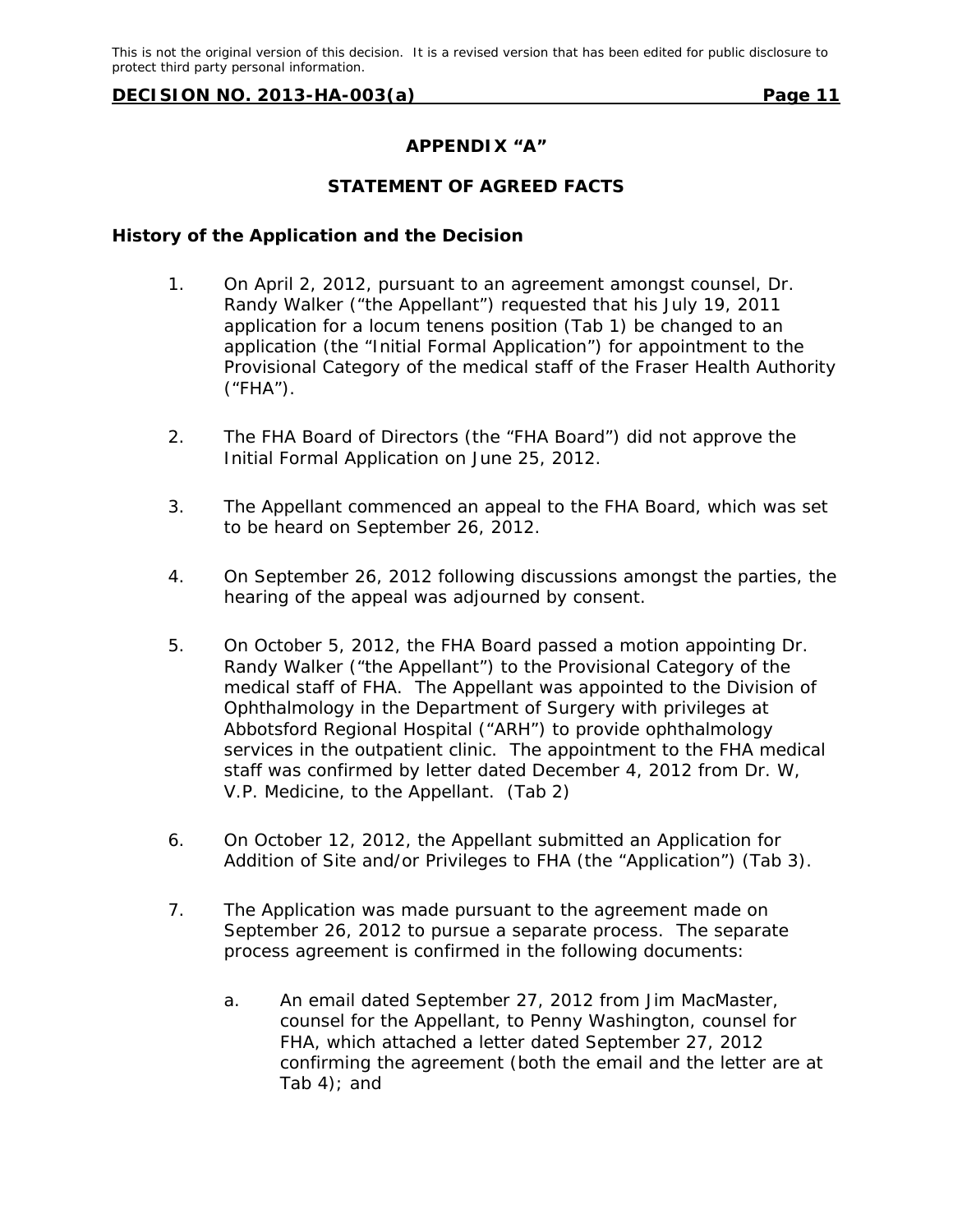#### **APPENDIX "A"**

#### **STATEMENT OF AGREED FACTS**

#### **History of the Application and the Decision**

- 1. On April 2, 2012, pursuant to an agreement amongst counsel, Dr. Randy Walker ("the Appellant") requested that his July 19, 2011 application for a locum tenens position (Tab 1) be changed to an application (the "Initial Formal Application") for appointment to the Provisional Category of the medical staff of the Fraser Health Authority  $('FHA')$ .
- 2. The FHA Board of Directors (the "FHA Board") did not approve the Initial Formal Application on June 25, 2012.
- 3. The Appellant commenced an appeal to the FHA Board, which was set to be heard on September 26, 2012.
- 4. On September 26, 2012 following discussions amongst the parties, the hearing of the appeal was adjourned by consent.
- 5. On October 5, 2012, the FHA Board passed a motion appointing Dr. Randy Walker ("the Appellant") to the Provisional Category of the medical staff of FHA. The Appellant was appointed to the Division of Ophthalmology in the Department of Surgery with privileges at Abbotsford Regional Hospital ("ARH") to provide ophthalmology services in the outpatient clinic. The appointment to the FHA medical staff was confirmed by letter dated December 4, 2012 from Dr. W, V.P. Medicine, to the Appellant. (Tab 2)
- 6. On October 12, 2012, the Appellant submitted an Application for Addition of Site and/or Privileges to FHA (the "Application") (Tab 3).
- 7. The Application was made pursuant to the agreement made on September 26, 2012 to pursue a separate process. The separate process agreement is confirmed in the following documents:
	- a. An email dated September 27, 2012 from Jim MacMaster, counsel for the Appellant, to Penny Washington, counsel for FHA, which attached a letter dated September 27, 2012 confirming the agreement (both the email and the letter are at Tab  $4$ ); and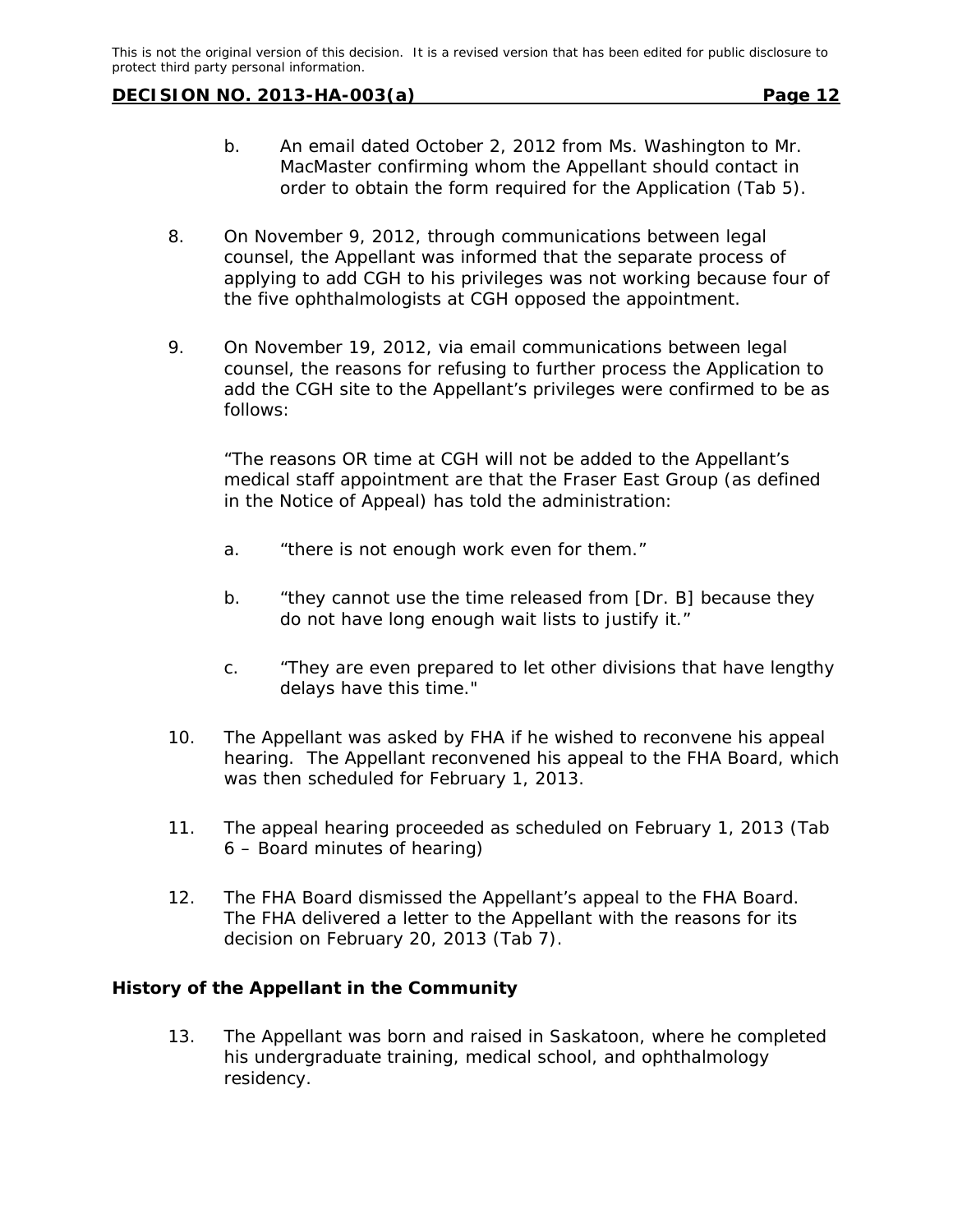- b. An email dated October 2, 2012 from Ms. Washington to Mr. MacMaster confirming whom the Appellant should contact in order to obtain the form required for the Application (Tab 5).
- 8. On November 9, 2012, through communications between legal counsel, the Appellant was informed that the separate process of applying to add CGH to his privileges was not working because four of the five ophthalmologists at CGH opposed the appointment.
- 9. On November 19, 2012, via email communications between legal counsel, the reasons for refusing to further process the Application to add the CGH site to the Appellant's privileges were confirmed to be as follows:

"The reasons OR time at CGH will not be added to the Appellant's medical staff appointment are that the Fraser East Group (as defined in the Notice of Appeal) has told the administration:

- a. "there is not enough work even for them."
- b. "they cannot use the time released from [Dr. B] because they do not have long enough wait lists to justify it."
- c. "They are even prepared to let other divisions that have lengthy delays have this time."
- 10. The Appellant was asked by FHA if he wished to reconvene his appeal hearing. The Appellant reconvened his appeal to the FHA Board, which was then scheduled for February 1, 2013.
- 11. The appeal hearing proceeded as scheduled on February 1, 2013 (Tab 6 – Board minutes of hearing)
- 12. The FHA Board dismissed the Appellant's appeal to the FHA Board. The FHA delivered a letter to the Appellant with the reasons for its decision on February 20, 2013 (Tab 7).

#### **History of the Appellant in the Community**

13. The Appellant was born and raised in Saskatoon, where he completed his undergraduate training, medical school, and ophthalmology residency.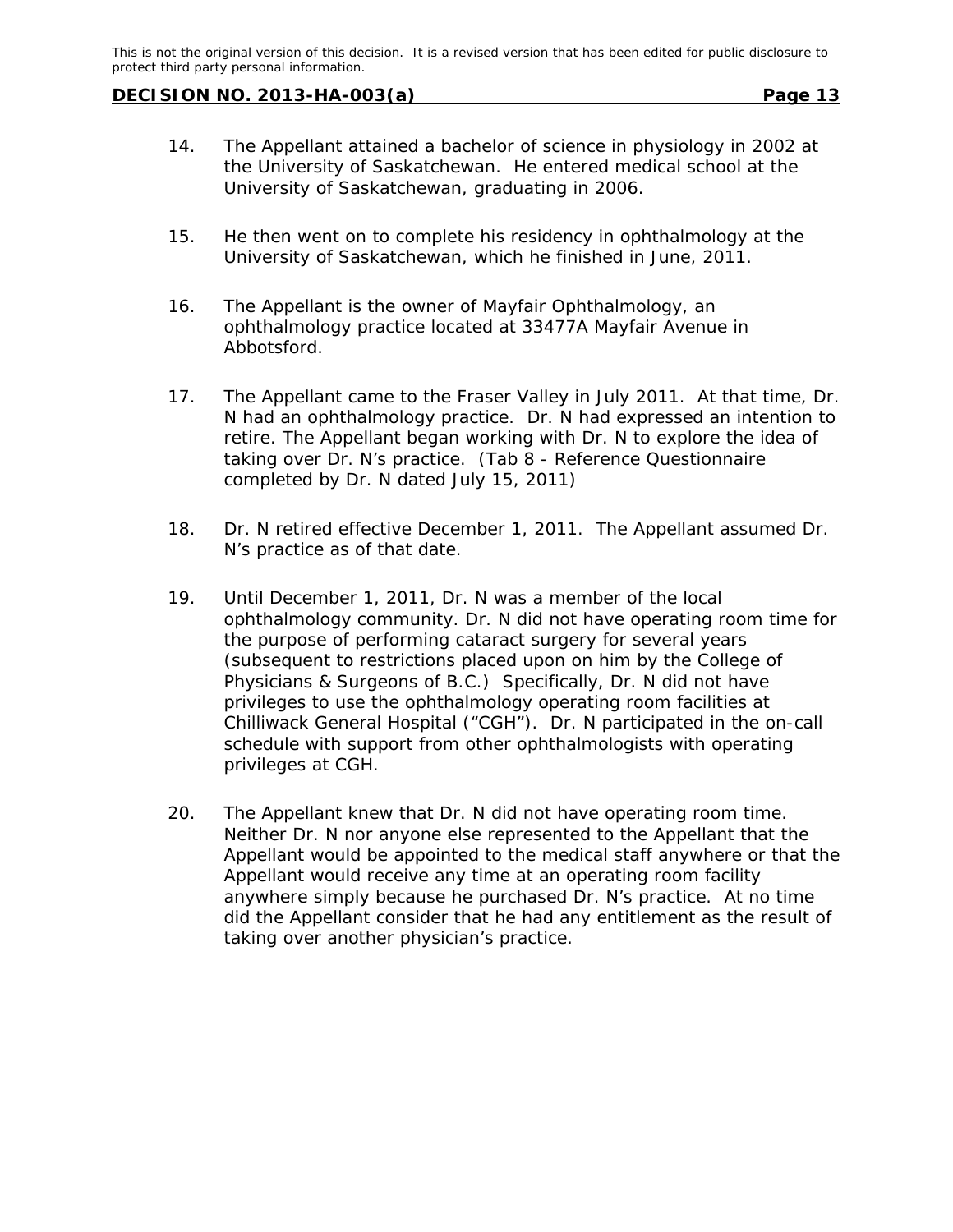- 14. The Appellant attained a bachelor of science in physiology in 2002 at the University of Saskatchewan. He entered medical school at the University of Saskatchewan, graduating in 2006.
- 15. He then went on to complete his residency in ophthalmology at the University of Saskatchewan, which he finished in June, 2011.
- 16. The Appellant is the owner of Mayfair Ophthalmology, an ophthalmology practice located at 33477A Mayfair Avenue in Abbotsford.
- 17. The Appellant came to the Fraser Valley in July 2011. At that time, Dr. N had an ophthalmology practice. Dr. N had expressed an intention to retire. The Appellant began working with Dr. N to explore the idea of taking over Dr. N's practice. (Tab 8 - Reference Questionnaire completed by Dr. N dated July 15, 2011)
- 18. Dr. N retired effective December 1, 2011. The Appellant assumed Dr. N's practice as of that date.
- 19. Until December 1, 2011, Dr. N was a member of the local ophthalmology community. Dr. N did not have operating room time for the purpose of performing cataract surgery for several years (subsequent to restrictions placed upon on him by the College of Physicians & Surgeons of B.C.) Specifically, Dr. N did not have privileges to use the ophthalmology operating room facilities at Chilliwack General Hospital ("CGH"). Dr. N participated in the on-call schedule with support from other ophthalmologists with operating privileges at CGH.
- 20. The Appellant knew that Dr. N did not have operating room time. Neither Dr. N nor anyone else represented to the Appellant that the Appellant would be appointed to the medical staff anywhere or that the Appellant would receive any time at an operating room facility anywhere simply because he purchased Dr. N's practice. At no time did the Appellant consider that he had any entitlement as the result of taking over another physician's practice.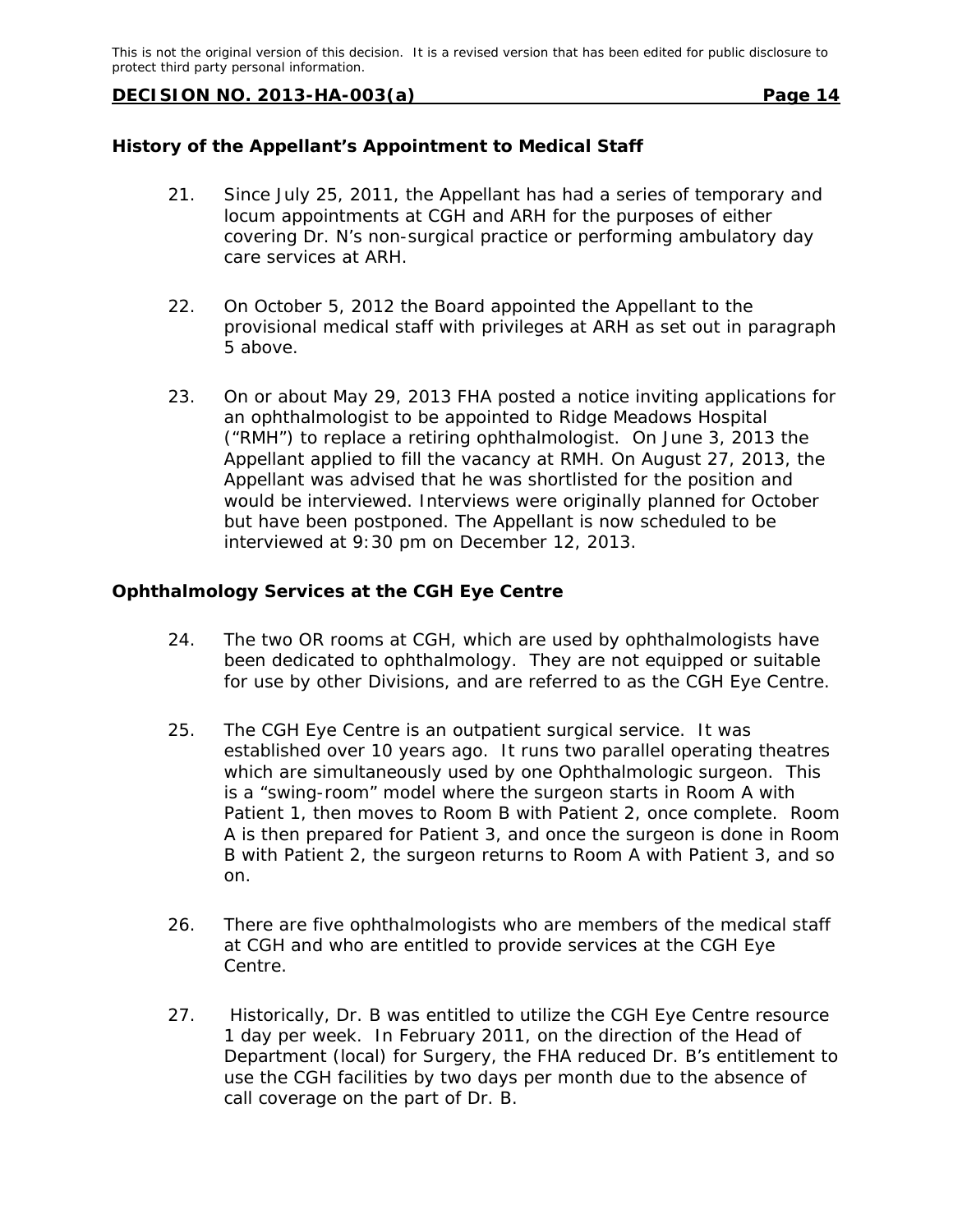## **History of the Appellant's Appointment to Medical Staff**

- 21. Since July 25, 2011, the Appellant has had a series of temporary and locum appointments at CGH and ARH for the purposes of either covering Dr. N's non-surgical practice or performing ambulatory day care services at ARH.
- 22. On October 5, 2012 the Board appointed the Appellant to the provisional medical staff with privileges at ARH as set out in paragraph 5 above.
- 23. On or about May 29, 2013 FHA posted a notice inviting applications for an ophthalmologist to be appointed to Ridge Meadows Hospital ("RMH") to replace a retiring ophthalmologist. On June 3, 2013 the Appellant applied to fill the vacancy at RMH. On August 27, 2013, the Appellant was advised that he was shortlisted for the position and would be interviewed. Interviews were originally planned for October but have been postponed. The Appellant is now scheduled to be interviewed at 9:30 pm on December 12, 2013.

## **Ophthalmology Services at the CGH Eye Centre**

- 24. The two OR rooms at CGH, which are used by ophthalmologists have been dedicated to ophthalmology. They are not equipped or suitable for use by other Divisions, and are referred to as the CGH Eye Centre.
- 25. The CGH Eye Centre is an outpatient surgical service. It was established over 10 years ago. It runs two parallel operating theatres which are simultaneously used by one Ophthalmologic surgeon. This is a "swing-room" model where the surgeon starts in Room A with Patient 1, then moves to Room B with Patient 2, once complete. Room A is then prepared for Patient 3, and once the surgeon is done in Room B with Patient 2, the surgeon returns to Room A with Patient 3, and so on.
- 26. There are five ophthalmologists who are members of the medical staff at CGH and who are entitled to provide services at the CGH Eye Centre.
- 27. Historically, Dr. B was entitled to utilize the CGH Eye Centre resource 1 day per week. In February 2011, on the direction of the Head of Department (local) for Surgery, the FHA reduced Dr. B's entitlement to use the CGH facilities by two days per month due to the absence of call coverage on the part of Dr. B.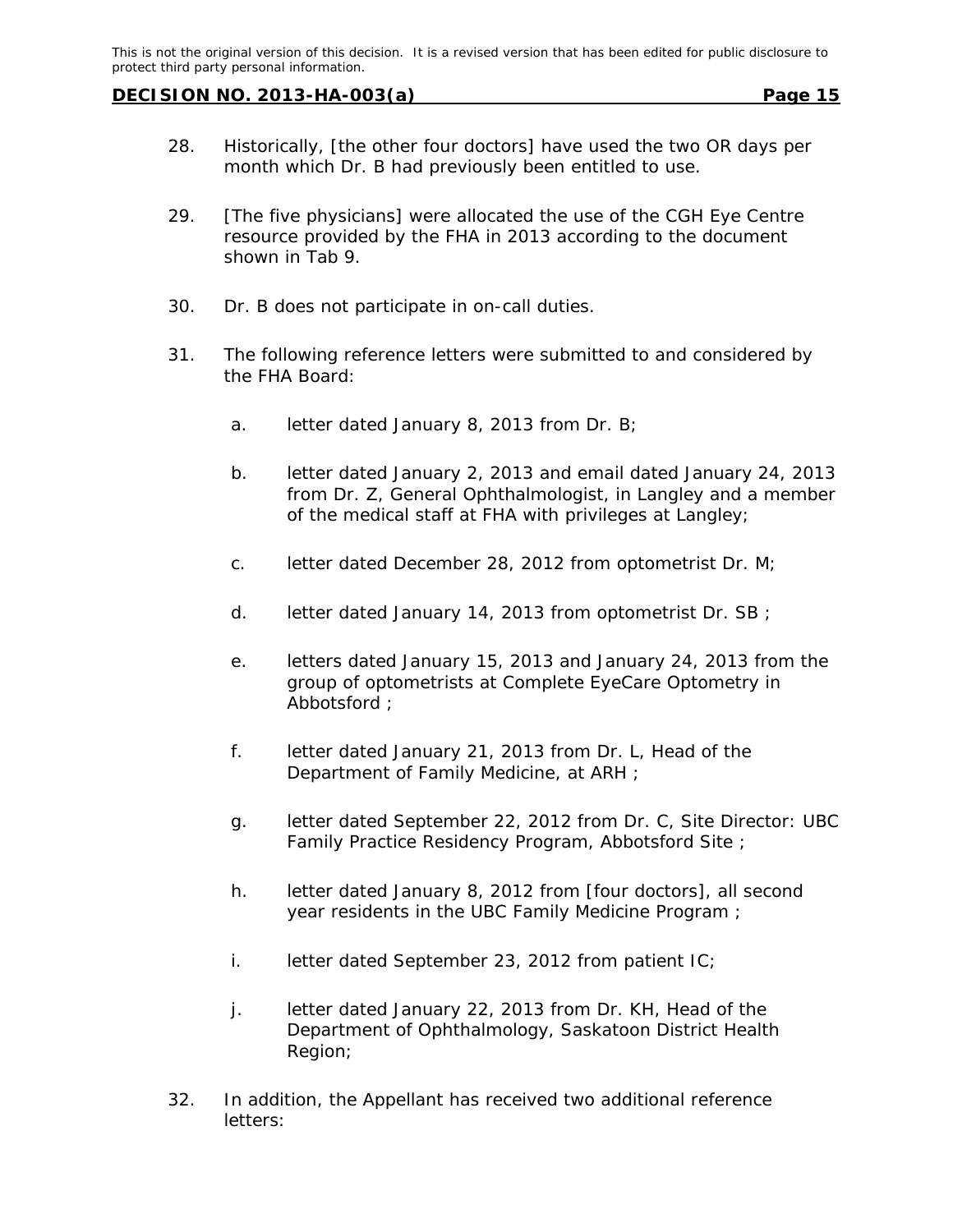- 28. Historically, [the other four doctors] have used the two OR days per month which Dr. B had previously been entitled to use.
- 29. [The five physicians] were allocated the use of the CGH Eye Centre resource provided by the FHA in 2013 according to the document shown in Tab 9.
- 30. Dr. B does not participate in on-call duties.
- 31. The following reference letters were submitted to and considered by the FHA Board:
	- a. letter dated January 8, 2013 from Dr. B;
	- b. letter dated January 2, 2013 and email dated January 24, 2013 from Dr. Z, General Ophthalmologist, in Langley and a member of the medical staff at FHA with privileges at Langley;
	- c. letter dated December 28, 2012 from optometrist Dr. M;
	- d. letter dated January 14, 2013 from optometrist Dr. SB;
	- e. letters dated January 15, 2013 and January 24, 2013 from the group of optometrists at Complete EyeCare Optometry in Abbotsford ;
	- f. letter dated January 21, 2013 from Dr. L, Head of the Department of Family Medicine, at ARH ;
	- g. letter dated September 22, 2012 from Dr. C, Site Director: UBC Family Practice Residency Program, Abbotsford Site ;
	- h. letter dated January 8, 2012 from [four doctors], all second year residents in the UBC Family Medicine Program ;
	- i. letter dated September 23, 2012 from patient IC;
	- j. letter dated January 22, 2013 from Dr. KH, Head of the Department of Ophthalmology, Saskatoon District Health Region;
- 32. In addition, the Appellant has received two additional reference letters: